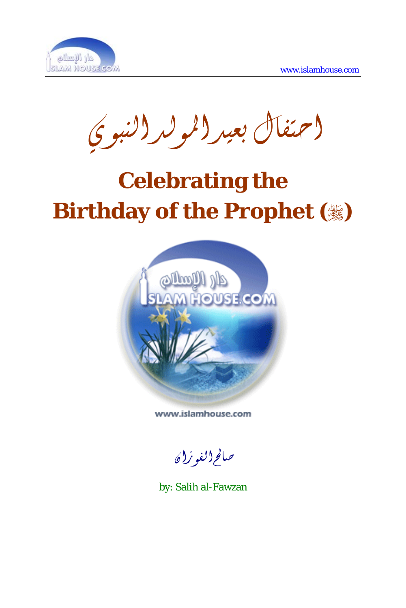

احتفال بعيد المولد النبوي

## **Celebrating the Birthday of the Prophet ()**



www.islamhouse.com

صالحالفوزان

by: Salih al-Fawzan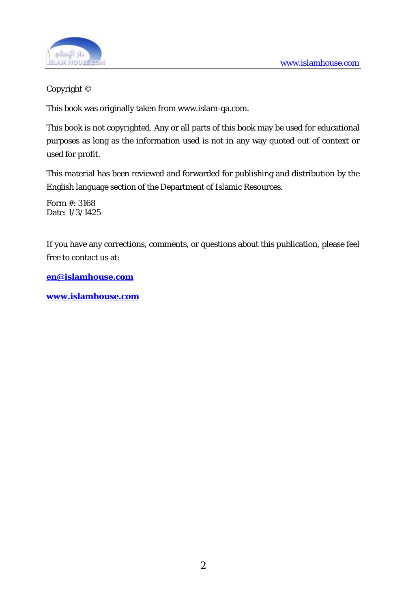

## Copyright ©

This book was originally taken from www.islam-qa.com.

This book is not copyrighted. Any or all parts of this book may be used for educational purposes as long as the information used is not in any way quoted out of context or used for profit.

This material has been reviewed and forwarded for publishing and distribution by the English language section of the Department of Islamic Resources.

Form #: 3168 Date: 1/3/1425

If you have any corrections, comments, or questions about this publication, please feel free to contact us at:

**[en@islamhouse.com](mailto:en@islamhouse.com)**

**[www.islamhouse.com](http://www.islamhouse.com/)**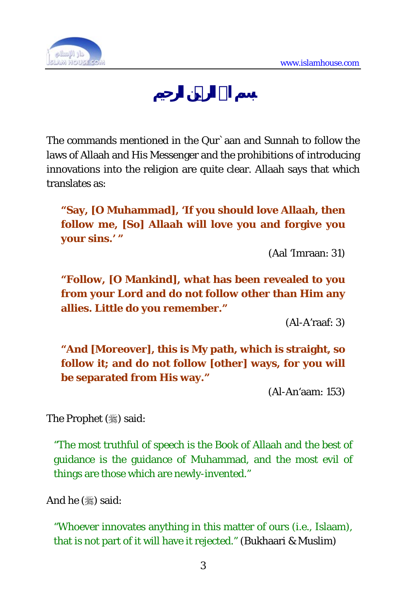

The commands mentioned in the Qur`aan and Sunnah to follow the laws of Allaah and His Messenger and the prohibitions of introducing innovations into the religion are quite clear. Allaah says that which translates as:

**"Say, [O Muhammad], 'If you should love Allaah, then follow me, [So] Allaah will love you and forgive you your sins.' "** 

(Aal 'Imraan: 31)

**"Follow, [O Mankind], what has been revealed to you from your Lord and do not follow other than Him any allies. Little do you remember."** 

(Al-A'raaf: 3)

**"And [Moreover], this is My path, which is straight, so follow it; and do not follow [other] ways, for you will be separated from His way."** 

(Al-An'aam: 153)

The Prophet (3) said:

"The most truthful of speech is the Book of Allaah and the best of guidance is the guidance of Muhammad, and the most evil of things are those which are newly-invented."

And he  $(\frac{1}{2})$  said:

"Whoever innovates anything in this matter of ours (i.e., Islaam), that is not part of it will have it rejected." (Bukhaari & Muslim)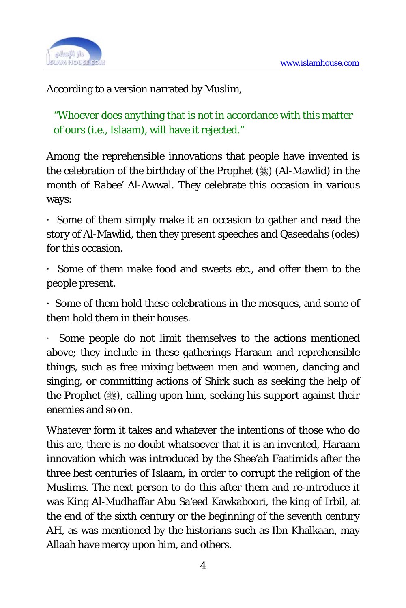

According to a version narrated by Muslim,

"Whoever does anything that is not in accordance with this matter of ours (i.e., Islaam), will have it rejected."

Among the reprehensible innovations that people have invented is the celebration of the birthday of the Prophet () (Al-Mawlid) in the month of Rabee' Al-Awwal. They celebrate this occasion in various ways:

· Some of them simply make it an occasion to gather and read the story of Al-Mawlid, then they present speeches and Qaseedahs (odes) for this occasion.

· Some of them make food and sweets etc., and offer them to the people present.

· Some of them hold these celebrations in the mosques, and some of them hold them in their houses.

Some people do not limit themselves to the actions mentioned above; they include in these gatherings Haraam and reprehensible things, such as free mixing between men and women, dancing and singing, or committing actions of Shirk such as seeking the help of the Prophet (5), calling upon him, seeking his support against their enemies and so on.

Whatever form it takes and whatever the intentions of those who do this are, there is no doubt whatsoever that it is an invented, Haraam innovation which was introduced by the Shee'ah Faatimids after the three best centuries of Islaam, in order to corrupt the religion of the Muslims. The next person to do this after them and re-introduce it was King Al-Mudhaffar Abu Sa'eed Kawkaboori, the king of Irbil, at the end of the sixth century or the beginning of the seventh century AH, as was mentioned by the historians such as Ibn Khalkaan, may Allaah have mercy upon him, and others.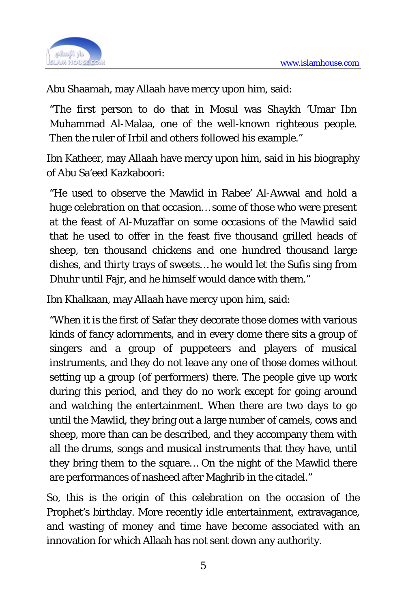

Abu Shaamah, may Allaah have mercy upon him, said:

"The first person to do that in Mosul was Shaykh 'Umar Ibn Muhammad Al-Malaa, one of the well-known righteous people. Then the ruler of Irbil and others followed his example."

Ibn Katheer, may Allaah have mercy upon him, said in his biography of Abu Sa'eed Kazkaboori:

"He used to observe the Mawlid in Rabee' Al-Awwal and hold a huge celebration on that occasion… some of those who were present at the feast of Al-Muzaffar on some occasions of the Mawlid said that he used to offer in the feast five thousand grilled heads of sheep, ten thousand chickens and one hundred thousand large dishes, and thirty trays of sweets… he would let the Sufis sing from Dhuhr until Fajr, and he himself would dance with them."

Ibn Khalkaan, may Allaah have mercy upon him, said:

"When it is the first of Safar they decorate those domes with various kinds of fancy adornments, and in every dome there sits a group of singers and a group of puppeteers and players of musical instruments, and they do not leave any one of those domes without setting up a group (of performers) there. The people give up work during this period, and they do no work except for going around and watching the entertainment. When there are two days to go until the Mawlid, they bring out a large number of camels, cows and sheep, more than can be described, and they accompany them with all the drums, songs and musical instruments that they have, until they bring them to the square… On the night of the Mawlid there are performances of nasheed after Maghrib in the citadel."

So, this is the origin of this celebration on the occasion of the Prophet's birthday. More recently idle entertainment, extravagance, and wasting of money and time have become associated with an innovation for which Allaah has not sent down any authority.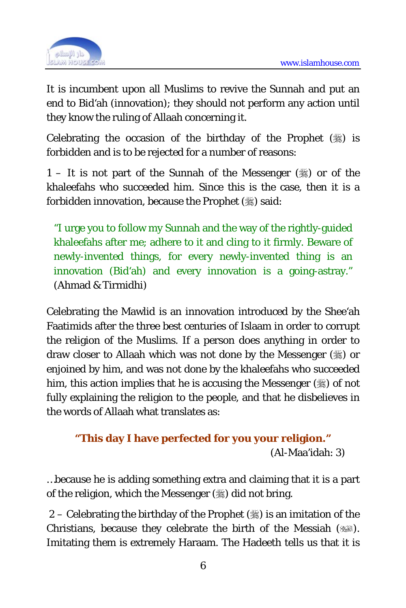

It is incumbent upon all Muslims to revive the Sunnah and put an end to Bid'ah (innovation); they should not perform any action until they know the ruling of Allaah concerning it.

Celebrating the occasion of the birthday of the Prophet  $(\frac{1}{2})$  is forbidden and is to be rejected for a number of reasons:

1 – It is not part of the Sunnah of the Messenger  $(\frac{1}{2})$  or of the khaleefahs who succeeded him. Since this is the case, then it is a forbidden innovation, because the Prophet (,) said:

"I urge you to follow my Sunnah and the way of the rightly-guided khaleefahs after me; adhere to it and cling to it firmly. Beware of newly-invented things, for every newly-invented thing is an innovation (Bid'ah) and every innovation is a going-astray." (Ahmad & Tirmidhi)

Celebrating the Mawlid is an innovation introduced by the Shee'ah Faatimids after the three best centuries of Islaam in order to corrupt the religion of the Muslims. If a person does anything in order to draw closer to Allaah which was not done by the Messenger  $(\frac{16}{20})$  or enjoined by him, and was not done by the khaleefahs who succeeded him, this action implies that he is accusing the Messenger  $(\frac{16}{20})$  of not fully explaining the religion to the people, and that he disbelieves in the words of Allaah what translates as:

```
"This day I have perfected for you your religion." 
                             (Al-Maa'idah: 3)
```
…because he is adding something extra and claiming that it is a part of the religion, which the Messenger  $(\frac{1}{2})$  did not bring.

2 – Celebrating the birthday of the Prophet  $(\frac{1}{2})$  is an imitation of the Christians, because they celebrate the birth of the Messiah (364). Imitating them is extremely Haraam. The Hadeeth tells us that it is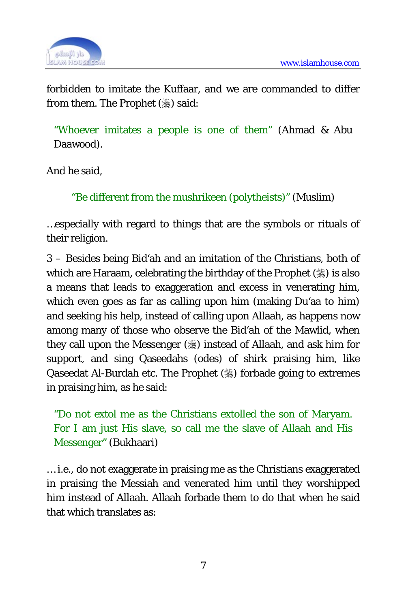

forbidden to imitate the Kuffaar, and we are commanded to differ from them. The Prophet (,) said:

"Whoever imitates a people is one of them" (Ahmad & Abu Daawood).

And he said,

"Be different from the mushrikeen (polytheists)" (Muslim)

…especially with regard to things that are the symbols or rituals of their religion.

3 – Besides being Bid'ah and an imitation of the Christians, both of which are Haraam, celebrating the birthday of the Prophet  $(\frac{1}{2})$  is also a means that leads to exaggeration and excess in venerating him, which even goes as far as calling upon him (making Du'aa to him) and seeking his help, instead of calling upon Allaah, as happens now among many of those who observe the Bid'ah of the Mawlid, when they call upon the Messenger  $(\frac{1}{2})$  instead of Allaah, and ask him for support, and sing Qaseedahs (odes) of shirk praising him, like Qaseedat Al-Burdah etc. The Prophet (3) forbade going to extremes in praising him, as he said:

"Do not extol me as the Christians extolled the son of Maryam. For I am just His slave, so call me the slave of Allaah and His Messenger" (Bukhaari)

… i.e., do not exaggerate in praising me as the Christians exaggerated in praising the Messiah and venerated him until they worshipped him instead of Allaah. Allaah forbade them to do that when he said that which translates as: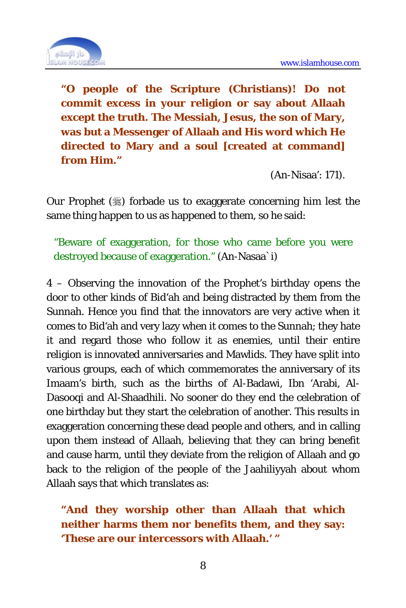

**"O people of the Scripture (Christians)! Do not commit excess in your religion or say about Allaah except the truth. The Messiah, Jesus, the son of Mary, was but a Messenger of Allaah and His word which He directed to Mary and a soul [created at command] from Him."** 

(An-Nisaa': 171).

Our Prophet  $(\frac{1}{2})$  forbade us to exaggerate concerning him lest the same thing happen to us as happened to them, so he said:

"Beware of exaggeration, for those who came before you were destroyed because of exaggeration." (An-Nasaa`i)

4 – Observing the innovation of the Prophet's birthday opens the door to other kinds of Bid'ah and being distracted by them from the Sunnah. Hence you find that the innovators are very active when it comes to Bid'ah and very lazy when it comes to the Sunnah; they hate it and regard those who follow it as enemies, until their entire religion is innovated anniversaries and Mawlids. They have split into various groups, each of which commemorates the anniversary of its Imaam's birth, such as the births of Al-Badawi, Ibn 'Arabi, Al-Dasooqi and Al-Shaadhili. No sooner do they end the celebration of one birthday but they start the celebration of another. This results in exaggeration concerning these dead people and others, and in calling upon them instead of Allaah, believing that they can bring benefit and cause harm, until they deviate from the religion of Allaah and go back to the religion of the people of the Jaahiliyyah about whom Allaah says that which translates as:

**"And they worship other than Allaah that which neither harms them nor benefits them, and they say: 'These are our intercessors with Allaah.' "**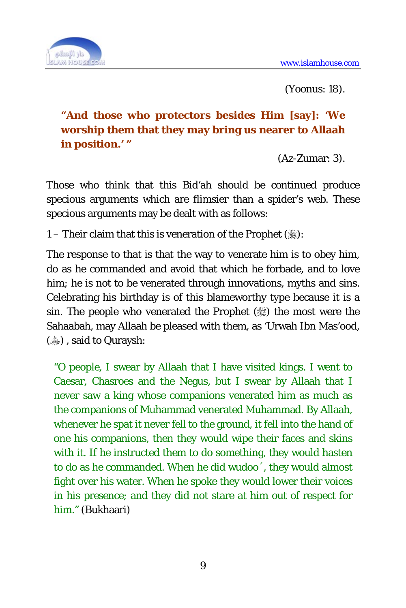

(Yoonus: 18).

## **"And those who protectors besides Him [say]: 'We worship them that they may bring us nearer to Allaah in position.' "**

(Az-Zumar: 3).

Those who think that this Bid'ah should be continued produce specious arguments which are flimsier than a spider's web. These specious arguments may be dealt with as follows:

1 – Their claim that this is veneration of the Prophet  $(\frac{1}{2})$ :

The response to that is that the way to venerate him is to obey him, do as he commanded and avoid that which he forbade, and to love him; he is not to be venerated through innovations, myths and sins. Celebrating his birthday is of this blameworthy type because it is a sin. The people who venerated the Prophet  $(\frac{1}{2})$  the most were the Sahaabah, may Allaah be pleased with them, as 'Urwah Ibn Mas'ood, (...), said to Quraysh:

"O people, I swear by Allaah that I have visited kings. I went to Caesar, Chasroes and the Negus, but I swear by Allaah that I never saw a king whose companions venerated him as much as the companions of Muhammad venerated Muhammad. By Allaah, whenever he spat it never fell to the ground, it fell into the hand of one his companions, then they would wipe their faces and skins with it. If he instructed them to do something, they would hasten to do as he commanded. When he did wudoo´, they would almost fight over his water. When he spoke they would lower their voices in his presence; and they did not stare at him out of respect for him." (Bukhaari)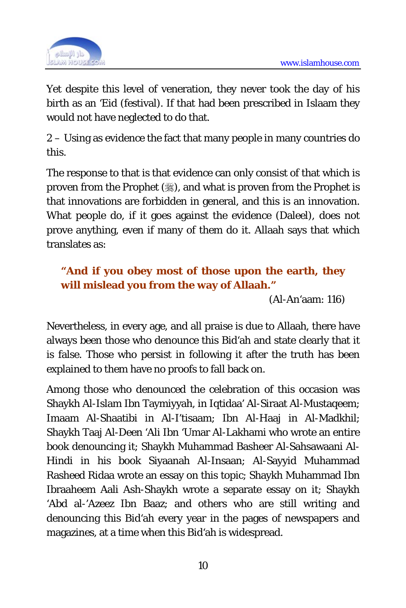

Yet despite this level of veneration, they never took the day of his birth as an 'Eid (festival). If that had been prescribed in Islaam they would not have neglected to do that.

2 – Using as evidence the fact that many people in many countries do this.

The response to that is that evidence can only consist of that which is proven from the Prophet  $(\ddot{\ddot},)$ , and what is proven from the Prophet is that innovations are forbidden in general, and this is an innovation. What people do, if it goes against the evidence (Daleel), does not prove anything, even if many of them do it. Allaah says that which translates as:

## **"And if you obey most of those upon the earth, they will mislead you from the way of Allaah."**

(Al-An'aam: 116)

Nevertheless, in every age, and all praise is due to Allaah, there have always been those who denounce this Bid'ah and state clearly that it is false. Those who persist in following it after the truth has been explained to them have no proofs to fall back on.

Among those who denounced the celebration of this occasion was Shaykh Al-Islam Ibn Taymiyyah, in Iqtidaa' Al-Siraat Al-Mustaqeem; Imaam Al-Shaatibi in Al-I'tisaam; Ibn Al-Haaj in Al-Madkhil; Shaykh Taaj Al-Deen 'Ali Ibn 'Umar Al-Lakhami who wrote an entire book denouncing it; Shaykh Muhammad Basheer Al-Sahsawaani Al-Hindi in his book Siyaanah Al-Insaan; Al-Sayyid Muhammad Rasheed Ridaa wrote an essay on this topic; Shaykh Muhammad Ibn Ibraaheem Aali Ash-Shaykh wrote a separate essay on it; Shaykh 'Abd al-'Azeez Ibn Baaz; and others who are still writing and denouncing this Bid'ah every year in the pages of newspapers and magazines, at a time when this Bid'ah is widespread.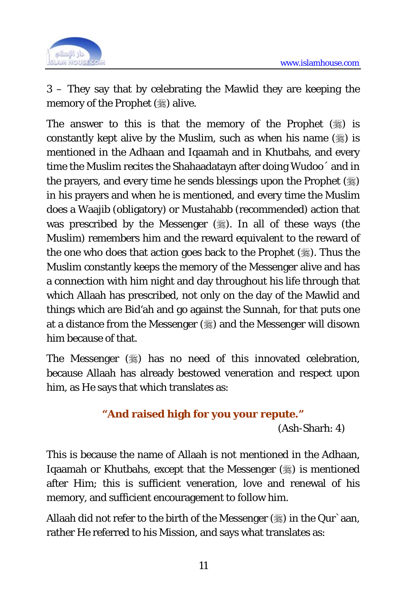

3 – They say that by celebrating the Mawlid they are keeping the memory of the Prophet (,) alive.

The answer to this is that the memory of the Prophet  $(\frac{1}{2})$  is constantly kept alive by the Muslim, such as when his name  $(*)$  is mentioned in the Adhaan and Iqaamah and in Khutbahs, and every time the Muslim recites the Shahaadatayn after doing Wudoo´ and in the prayers, and every time he sends blessings upon the Prophet  $(\frac{16}{20})$ in his prayers and when he is mentioned, and every time the Muslim does a Waajib (obligatory) or Mustahabb (recommended) action that was prescribed by the Messenger  $(\frac{1}{2})$ . In all of these ways (the Muslim) remembers him and the reward equivalent to the reward of the one who does that action goes back to the Prophet (.). Thus the Muslim constantly keeps the memory of the Messenger alive and has a connection with him night and day throughout his life through that which Allaah has prescribed, not only on the day of the Mawlid and things which are Bid'ah and go against the Sunnah, for that puts one at a distance from the Messenger ( $\frac{1}{20}$ ) and the Messenger will disown him because of that.

The Messenger  $(\frac{1}{2})$  has no need of this innovated celebration, because Allaah has already bestowed veneration and respect upon him, as He says that which translates as:

**"And raised high for you your repute."**  (Ash-Sharh: 4)

This is because the name of Allaah is not mentioned in the Adhaan, Iqaamah or Khutbahs, except that the Messenger () is mentioned after Him; this is sufficient veneration, love and renewal of his memory, and sufficient encouragement to follow him.

Allaah did not refer to the birth of the Messenger  $(\frac{1}{2})$  in the Qur`aan, rather He referred to his Mission, and says what translates as: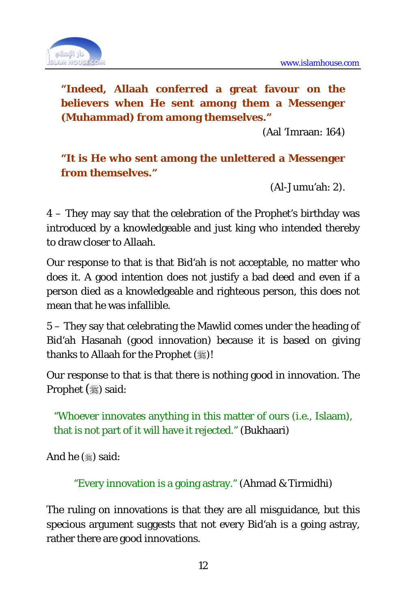

**"Indeed, Allaah conferred a great favour on the believers when He sent among them a Messenger (Muhammad) from among themselves."** 

(Aal 'Imraan: 164)

**"It is He who sent among the unlettered a Messenger from themselves."** 

(Al-Jumu'ah: 2).

4 – They may say that the celebration of the Prophet's birthday was introduced by a knowledgeable and just king who intended thereby to draw closer to Allaah.

Our response to that is that Bid'ah is not acceptable, no matter who does it. A good intention does not justify a bad deed and even if a person died as a knowledgeable and righteous person, this does not mean that he was infallible.

5 – They say that celebrating the Mawlid comes under the heading of Bid'ah Hasanah (good innovation) because it is based on giving thanks to Allaah for the Prophet (,)!

Our response to that is that there is nothing good in innovation. The Prophet  $(\mathcal{H})$  said:

"Whoever innovates anything in this matter of ours (i.e., Islaam), that is not part of it will have it rejected." (Bukhaari)

And he  $(\mathcal{L})$  said:

"Every innovation is a going astray." (Ahmad & Tirmidhi)

The ruling on innovations is that they are all misguidance, but this specious argument suggests that not every Bid'ah is a going astray, rather there are good innovations.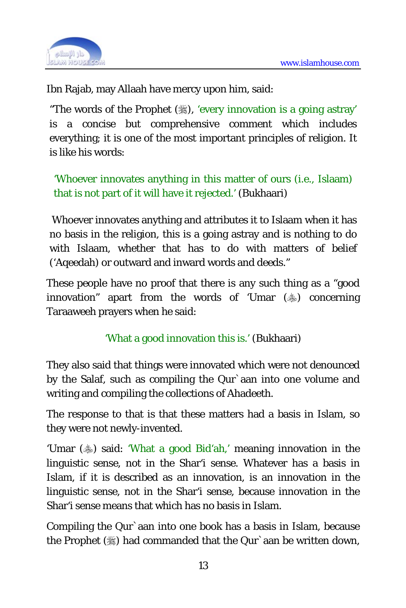

Ibn Rajab, may Allaah have mercy upon him, said:

"The words of the Prophet (,), 'every innovation is a going astray' is a concise but comprehensive comment which includes everything; it is one of the most important principles of religion. It is like his words:

'Whoever innovates anything in this matter of ours (i.e., Islaam) that is not part of it will have it rejected.' (Bukhaari)

 Whoever innovates anything and attributes it to Islaam when it has no basis in the religion, this is a going astray and is nothing to do with Islaam, whether that has to do with matters of belief ('Aqeedah) or outward and inward words and deeds."

These people have no proof that there is any such thing as a "good innovation" apart from the words of 'Umar  $(*)$  concerning Taraaweeh prayers when he said:

'What a good innovation this is.' (Bukhaari)

They also said that things were innovated which were not denounced by the Salaf, such as compiling the Qur`aan into one volume and writing and compiling the collections of Ahadeeth.

The response to that is that these matters had a basis in Islam, so they were not newly-invented.

'Umar ( $\ast$ ) said: 'What a good Bid'ah,' meaning innovation in the linguistic sense, not in the Shar'i sense. Whatever has a basis in Islam, if it is described as an innovation, is an innovation in the linguistic sense, not in the Shar'i sense, because innovation in the Shar'i sense means that which has no basis in Islam.

Compiling the Qur`aan into one book has a basis in Islam, because the Prophet ( $\frac{1}{2}$ ) had commanded that the Qur`aan be written down,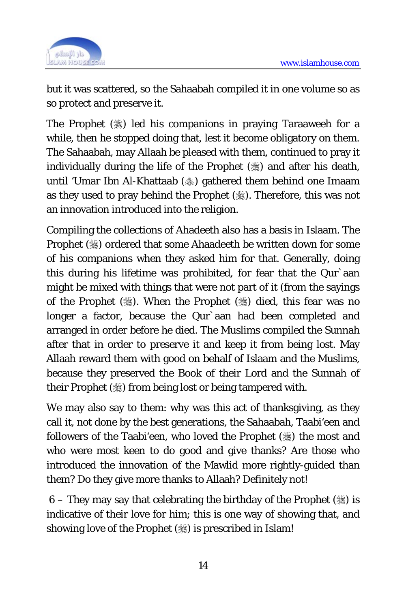

but it was scattered, so the Sahaabah compiled it in one volume so as so protect and preserve it.

The Prophet  $(\frac{1}{2})$  led his companions in praying Taraaweeh for a while, then he stopped doing that, lest it become obligatory on them. The Sahaabah, may Allaah be pleased with them, continued to pray it individually during the life of the Prophet ( $\gg$ ) and after his death, until 'Umar Ibn Al-Khattaab () gathered them behind one Imaam as they used to pray behind the Prophet (.). Therefore, this was not an innovation introduced into the religion.

Compiling the collections of Ahadeeth also has a basis in Islaam. The Prophet () ordered that some Ahaadeeth be written down for some of his companions when they asked him for that. Generally, doing this during his lifetime was prohibited, for fear that the Qur`aan might be mixed with things that were not part of it (from the sayings of the Prophet  $(\frac{1}{2})$ . When the Prophet  $(\frac{1}{2})$  died, this fear was no longer a factor, because the Qur`aan had been completed and arranged in order before he died. The Muslims compiled the Sunnah after that in order to preserve it and keep it from being lost. May Allaah reward them with good on behalf of Islaam and the Muslims, because they preserved the Book of their Lord and the Sunnah of their Prophet  $(\mathcal{L})$  from being lost or being tampered with.

We may also say to them: why was this act of thanksgiving, as they call it, not done by the best generations, the Sahaabah, Taabi'een and followers of the Taabi'een, who loved the Prophet  $(\frac{1}{2})$  the most and who were most keen to do good and give thanks? Are those who introduced the innovation of the Mawlid more rightly-guided than them? Do they give more thanks to Allaah? Definitely not!

6 – They may say that celebrating the birthday of the Prophet  $(\frac{15}{26})$  is indicative of their love for him; this is one way of showing that, and showing love of the Prophet ( $\frac{1}{2}$ ) is prescribed in Islam!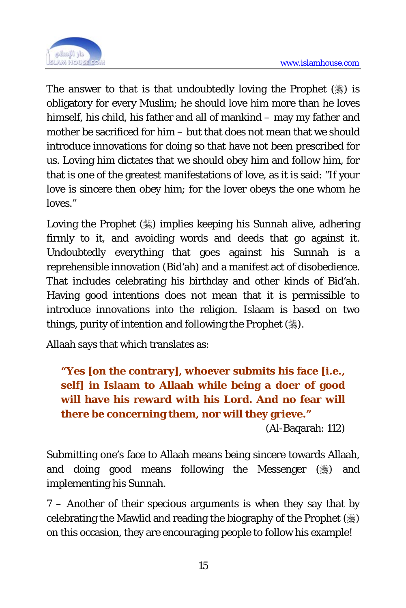

The answer to that is that undoubtedly loving the Prophet  $(*)$  is obligatory for every Muslim; he should love him more than he loves himself, his child, his father and all of mankind – may my father and mother be sacrificed for him – but that does not mean that we should introduce innovations for doing so that have not been prescribed for us. Loving him dictates that we should obey him and follow him, for that is one of the greatest manifestations of love, as it is said: "If your love is sincere then obey him; for the lover obeys the one whom he loves."

Loving the Prophet () implies keeping his Sunnah alive, adhering firmly to it, and avoiding words and deeds that go against it. Undoubtedly everything that goes against his Sunnah is a reprehensible innovation (Bid'ah) and a manifest act of disobedience. That includes celebrating his birthday and other kinds of Bid'ah. Having good intentions does not mean that it is permissible to introduce innovations into the religion. Islaam is based on two things, purity of intention and following the Prophet  $(\frac{1}{2})$ .

Allaah says that which translates as:

**"Yes [on the contrary], whoever submits his face [i.e., self] in Islaam to Allaah while being a doer of good will have his reward with his Lord. And no fear will there be concerning them, nor will they grieve."** 

(Al-Baqarah: 112)

Submitting one's face to Allaah means being sincere towards Allaah, and doing good means following the Messenger  $(\frac{1}{2})$  and implementing his Sunnah.

7 – Another of their specious arguments is when they say that by celebrating the Mawlid and reading the biography of the Prophet (\) on this occasion, they are encouraging people to follow his example!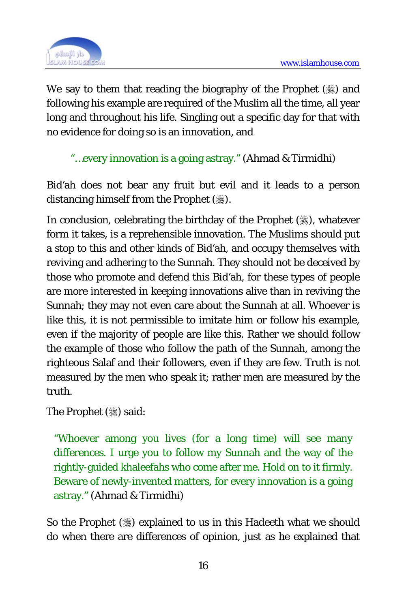

We say to them that reading the biography of the Prophet  $(\frac{1}{2})$  and following his example are required of the Muslim all the time, all year long and throughout his life. Singling out a specific day for that with no evidence for doing so is an innovation, and

"…every innovation is a going astray." (Ahmad & Tirmidhi)

Bid'ah does not bear any fruit but evil and it leads to a person distancing himself from the Prophet (,...).

In conclusion, celebrating the birthday of the Prophet  $(\frac{16}{36})$ , whatever form it takes, is a reprehensible innovation. The Muslims should put a stop to this and other kinds of Bid'ah, and occupy themselves with reviving and adhering to the Sunnah. They should not be deceived by those who promote and defend this Bid'ah, for these types of people are more interested in keeping innovations alive than in reviving the Sunnah; they may not even care about the Sunnah at all. Whoever is like this, it is not permissible to imitate him or follow his example, even if the majority of people are like this. Rather we should follow the example of those who follow the path of the Sunnah, among the righteous Salaf and their followers, even if they are few. Truth is not measured by the men who speak it; rather men are measured by the truth.

The Prophet (,) said:

"Whoever among you lives (for a long time) will see many differences. I urge you to follow my Sunnah and the way of the rightly-guided khaleefahs who come after me. Hold on to it firmly. Beware of newly-invented matters, for every innovation is a going astray." (Ahmad & Tirmidhi)

So the Prophet ( $\gg$ ) explained to us in this Hadeeth what we should do when there are differences of opinion, just as he explained that